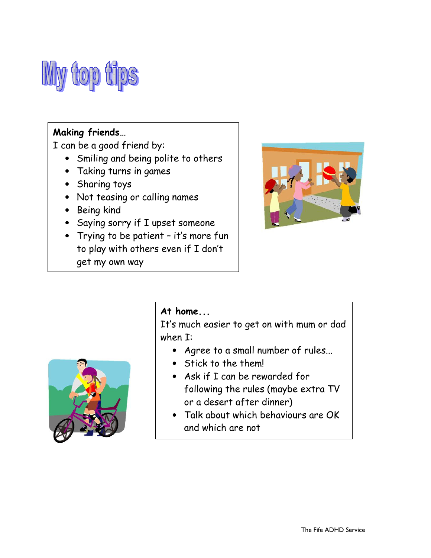

### Making friends…

I can be a good friend by:

- Smiling and being polite to others
- Taking turns in games
- Sharing toys
- Not teasing or calling names
- Being kind
- Saying sorry if I upset someone
- Trying to be patient it's more fun to play with others even if I don't get my own way





## At home...

It's much easier to get on with mum or dad when I:

- Agree to a small number of rules...
- Stick to the them!
- Ask if I can be rewarded for following the rules (maybe extra TV or a desert after dinner)
- Talk about which behaviours are OK and which are not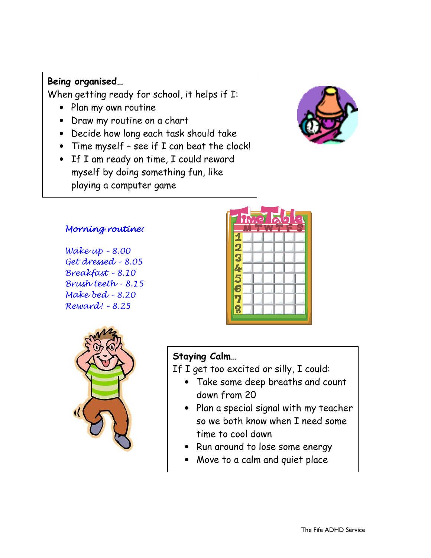## Being organised…

When getting ready for school, it helps if I:

- Plan my own routine
- Draw my routine on a chart
- Decide how long each task should take
- Time myself see if I can beat the clock!
- If I am ready on time, I could reward myself by doing something fun, like playing a computer game



#### Morning routine:

Wake up – 8.00 Get dressed – 8.05 Breakfast – 8.10 Brush teeth - 8.15 Make bed – 8.20 Reward! – 8.25



| m. |  |  |  |
|----|--|--|--|
|    |  |  |  |
|    |  |  |  |
| j  |  |  |  |
| т. |  |  |  |
|    |  |  |  |
|    |  |  |  |
|    |  |  |  |

# Staying Calm…

If I get too excited or silly, I could:

- Take some deep breaths and count down from 20
- Plan a special signal with my teacher so we both know when I need some time to cool down
- Run around to lose some energy
- Move to a calm and quiet place